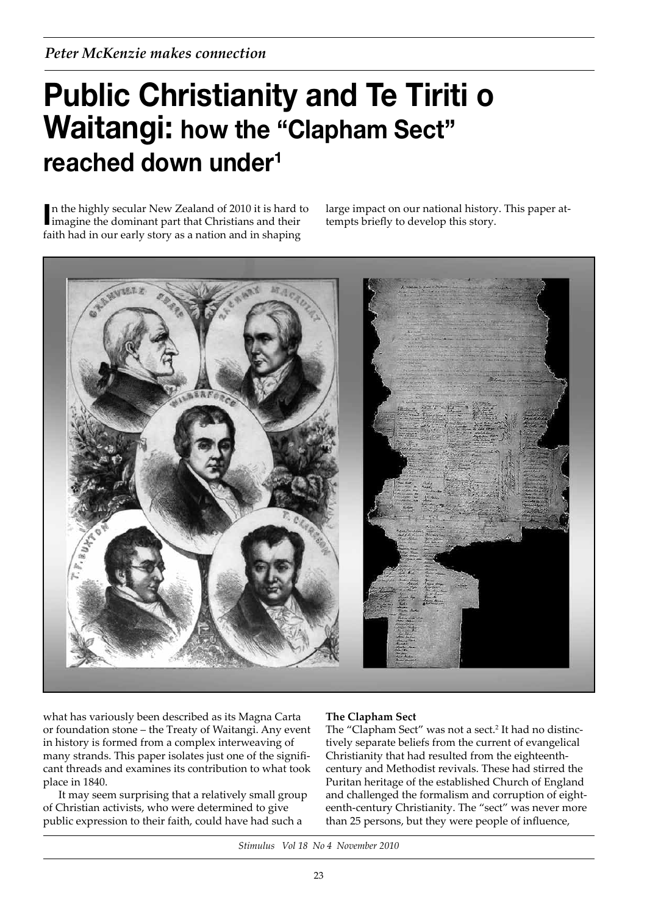# **Public Christianity and Te Tiriti o Waitangi: how the "Clapham Sect" reached down under1**

In the highly secular New Zealand of 2010 it is hard the dominant part that Christians and their n the highly secular New Zealand of 2010 it is hard to faith had in our early story as a nation and in shaping

large impact on our national history. This paper attempts briefly to develop this story.



what has variously been described as its Magna Carta or foundation stone – the Treaty of Waitangi. Any event in history is formed from a complex interweaving of many strands. This paper isolates just one of the significant threads and examines its contribution to what took place in 1840.

It may seem surprising that a relatively small group of Christian activists, who were determined to give public expression to their faith, could have had such a

# **The Clapham Sect**

The "Clapham Sect" was not a sect.<sup>2</sup> It had no distinctively separate beliefs from the current of evangelical Christianity that had resulted from the eighteenthcentury and Methodist revivals. These had stirred the Puritan heritage of the established Church of England and challenged the formalism and corruption of eighteenth-century Christianity. The "sect" was never more than 25 persons, but they were people of influence,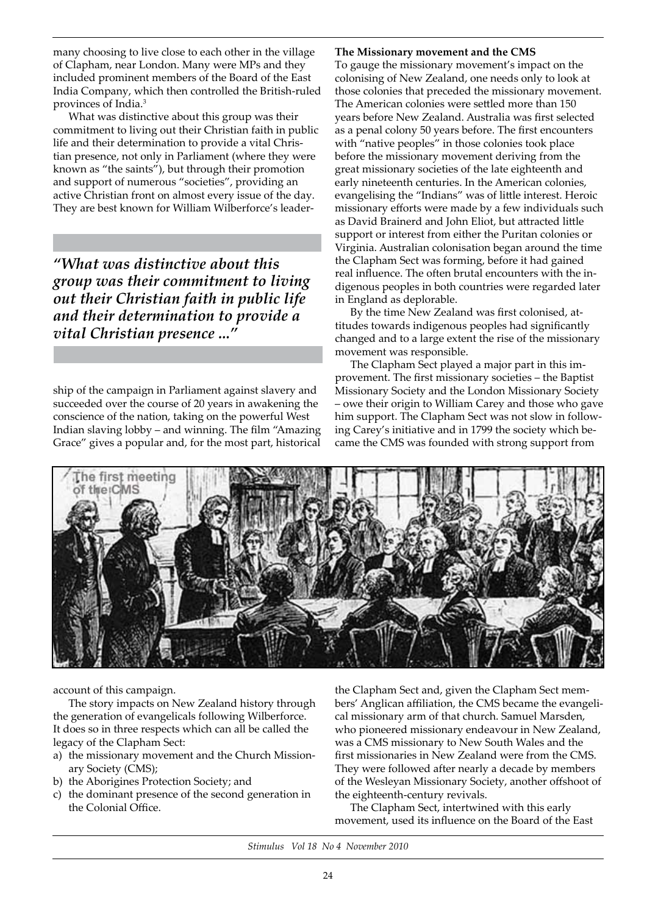many choosing to live close to each other in the village of Clapham, near London. Many were MPs and they included prominent members of the Board of the East India Company, which then controlled the British-ruled provinces of India.3

What was distinctive about this group was their commitment to living out their Christian faith in public life and their determination to provide a vital Christian presence, not only in Parliament (where they were known as "the saints"), but through their promotion and support of numerous "societies", providing an active Christian front on almost every issue of the day. They are best known for William Wilberforce's leader-

*"What was distinctive about this group was their commitment to living out their Christian faith in public life and their determination to provide a vital Christian presence ..."*

ship of the campaign in Parliament against slavery and succeeded over the course of 20 years in awakening the conscience of the nation, taking on the powerful West Indian slaving lobby – and winning. The film "Amazing Grace" gives a popular and, for the most part, historical

## **The Missionary movement and the CMS**

To gauge the missionary movement's impact on the colonising of New Zealand, one needs only to look at those colonies that preceded the missionary movement. The American colonies were settled more than 150 years before New Zealand. Australia was first selected as a penal colony 50 years before. The first encounters with "native peoples" in those colonies took place before the missionary movement deriving from the great missionary societies of the late eighteenth and early nineteenth centuries. In the American colonies, evangelising the "Indians" was of little interest. Heroic missionary efforts were made by a few individuals such as David Brainerd and John Eliot, but attracted little support or interest from either the Puritan colonies or Virginia. Australian colonisation began around the time the Clapham Sect was forming, before it had gained real influence. The often brutal encounters with the indigenous peoples in both countries were regarded later in England as deplorable.

By the time New Zealand was first colonised, attitudes towards indigenous peoples had significantly changed and to a large extent the rise of the missionary movement was responsible.

The Clapham Sect played a major part in this improvement. The first missionary societies – the Baptist Missionary Society and the London Missionary Society – owe their origin to William Carey and those who gave him support. The Clapham Sect was not slow in following Carey's initiative and in 1799 the society which became the CMS was founded with strong support from



account of this campaign.

The story impacts on New Zealand history through the generation of evangelicals following Wilberforce. It does so in three respects which can all be called the legacy of the Clapham Sect:

- a) the missionary movement and the Church Missionary Society (CMS);
- b) the Aborigines Protection Society; and
- c) the dominant presence of the second generation in the Colonial Office.

the Clapham Sect and, given the Clapham Sect members' Anglican affiliation, the CMS became the evangelical missionary arm of that church. Samuel Marsden, who pioneered missionary endeavour in New Zealand, was a CMS missionary to New South Wales and the first missionaries in New Zealand were from the CMS. They were followed after nearly a decade by members of the Wesleyan Missionary Society, another offshoot of the eighteenth-century revivals.

The Clapham Sect, intertwined with this early movement, used its influence on the Board of the East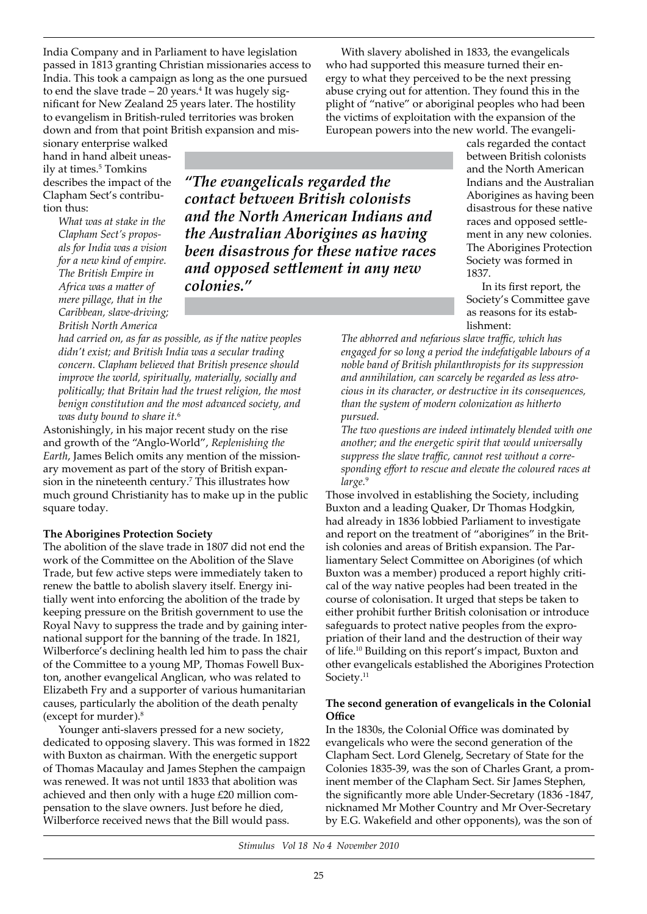India Company and in Parliament to have legislation passed in 1813 granting Christian missionaries access to India. This took a campaign as long as the one pursued to end the slave trade  $-20$  years.<sup>4</sup> It was hugely significant for New Zealand 25 years later. The hostility to evangelism in British-ruled territories was broken down and from that point British expansion and mis-

sionary enterprise walked hand in hand albeit uneasily at times.<sup>5</sup> Tomkins describes the impact of the Clapham Sect's contribution thus:

> *What was at stake in the Clapham Sect's proposals for India was a vision for a new kind of empire. The British Empire in Africa was a matter of mere pillage, that in the Caribbean, slave-driving; British North America*

*"The evangelicals regarded the contact between British colonists and the North American Indians and the Australian Aborigines as having been disastrous for these native races and opposed settlement in any new colonies."*

*had carried on, as far as possible, as if the native peoples didn't exist; and British India was a secular trading concern. Clapham believed that British presence should improve the world, spiritually, materially, socially and politically; that Britain had the truest religion, the most benign constitution and the most advanced society, and was duty bound to share it.*<sup>6</sup>

Astonishingly, in his major recent study on the rise and growth of the "Anglo-World", *Replenishing the Earth*, James Belich omits any mention of the missionary movement as part of the story of British expansion in the nineteenth century.7 This illustrates how much ground Christianity has to make up in the public square today.

## **The Aborigines Protection Society**

The abolition of the slave trade in 1807 did not end the work of the Committee on the Abolition of the Slave Trade, but few active steps were immediately taken to renew the battle to abolish slavery itself. Energy initially went into enforcing the abolition of the trade by keeping pressure on the British government to use the Royal Navy to suppress the trade and by gaining international support for the banning of the trade. In 1821, Wilberforce's declining health led him to pass the chair of the Committee to a young MP, Thomas Fowell Buxton, another evangelical Anglican, who was related to Elizabeth Fry and a supporter of various humanitarian causes, particularly the abolition of the death penalty (except for murder).8

Younger anti-slavers pressed for a new society, dedicated to opposing slavery. This was formed in 1822 with Buxton as chairman. With the energetic support of Thomas Macaulay and James Stephen the campaign was renewed. It was not until 1833 that abolition was achieved and then only with a huge £20 million compensation to the slave owners. Just before he died, Wilberforce received news that the Bill would pass.

With slavery abolished in 1833, the evangelicals who had supported this measure turned their energy to what they perceived to be the next pressing abuse crying out for attention. They found this in the plight of "native" or aboriginal peoples who had been the victims of exploitation with the expansion of the European powers into the new world. The evangeli-

> cals regarded the contact between British colonists and the North American Indians and the Australian Aborigines as having been disastrous for these native races and opposed settlement in any new colonies. The Aborigines Protection Society was formed in 1837.

In its first report, the Society's Committee gave as reasons for its establishment:

*The abhorred and nefarious slave traffic, which has engaged for so long a period the indefatigable labours of a noble band of British philanthropists for its suppression and annihilation, can scarcely be regarded as less atrocious in its character, or destructive in its consequences, than the system of modern colonization as hitherto pursued.*

*The two questions are indeed intimately blended with one another; and the energetic spirit that would universally suppress the slave traffic, cannot rest without a corresponding effort to rescue and elevate the coloured races at large.*<sup>9</sup>

Those involved in establishing the Society, including Buxton and a leading Quaker, Dr Thomas Hodgkin, had already in 1836 lobbied Parliament to investigate and report on the treatment of "aborigines" in the British colonies and areas of British expansion. The Parliamentary Select Committee on Aborigines (of which Buxton was a member) produced a report highly critical of the way native peoples had been treated in the course of colonisation. It urged that steps be taken to either prohibit further British colonisation or introduce safeguards to protect native peoples from the expropriation of their land and the destruction of their way of life.10 Building on this report's impact, Buxton and other evangelicals established the Aborigines Protection Society.<sup>11</sup>

## **The second generation of evangelicals in the Colonial Office**

In the 1830s, the Colonial Office was dominated by evangelicals who were the second generation of the Clapham Sect. Lord Glenelg, Secretary of State for the Colonies 1835-39, was the son of Charles Grant, a prominent member of the Clapham Sect. Sir James Stephen, the significantly more able Under-Secretary (1836 -1847, nicknamed Mr Mother Country and Mr Over-Secretary by E.G. Wakefield and other opponents), was the son of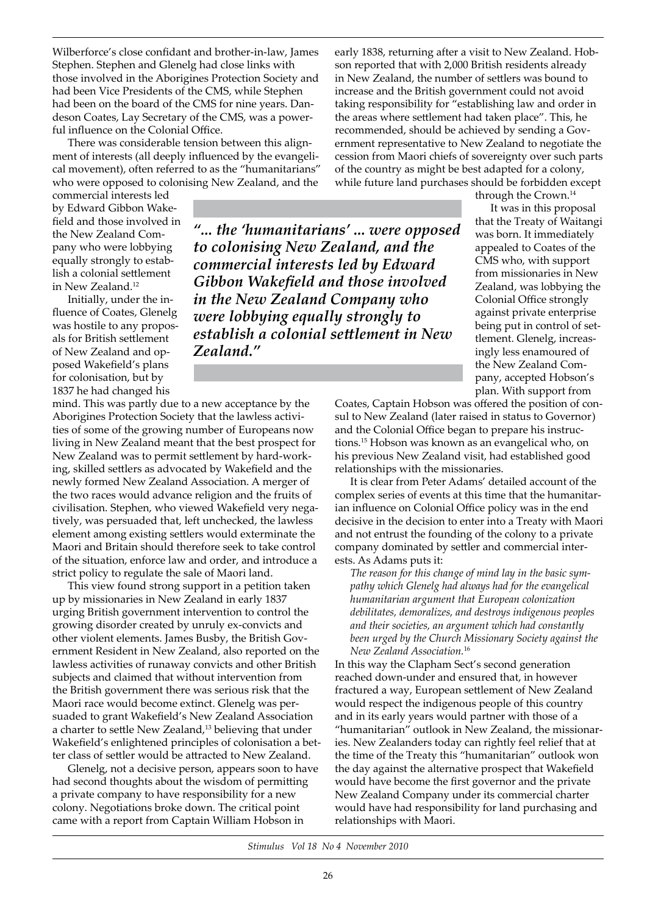Wilberforce's close confidant and brother-in-law, James Stephen. Stephen and Glenelg had close links with those involved in the Aborigines Protection Society and had been Vice Presidents of the CMS, while Stephen had been on the board of the CMS for nine years. Dandeson Coates, Lay Secretary of the CMS, was a powerful influence on the Colonial Office.

There was considerable tension between this alignment of interests (all deeply influenced by the evangelical movement), often referred to as the "humanitarians" who were opposed to colonising New Zealand, and the

commercial interests led by Edward Gibbon Wakefield and those involved in the New Zealand Company who were lobbying equally strongly to establish a colonial settlement in New Zealand.12

Initially, under the influence of Coates, Glenelg was hostile to any proposals for British settlement of New Zealand and opposed Wakefield's plans for colonisation, but by 1837 he had changed his

mind. This was partly due to a new acceptance by the Aborigines Protection Society that the lawless activities of some of the growing number of Europeans now living in New Zealand meant that the best prospect for New Zealand was to permit settlement by hard-working, skilled settlers as advocated by Wakefield and the newly formed New Zealand Association. A merger of the two races would advance religion and the fruits of civilisation. Stephen, who viewed Wakefield very negatively, was persuaded that, left unchecked, the lawless element among existing settlers would exterminate the Maori and Britain should therefore seek to take control of the situation, enforce law and order, and introduce a strict policy to regulate the sale of Maori land.

*Zealand."*

This view found strong support in a petition taken up by missionaries in New Zealand in early 1837 urging British government intervention to control the growing disorder created by unruly ex-convicts and other violent elements. James Busby, the British Government Resident in New Zealand, also reported on the lawless activities of runaway convicts and other British subjects and claimed that without intervention from the British government there was serious risk that the Maori race would become extinct. Glenelg was persuaded to grant Wakefield's New Zealand Association a charter to settle New Zealand,<sup>13</sup> believing that under Wakefield's enlightened principles of colonisation a better class of settler would be attracted to New Zealand.

Glenelg, not a decisive person, appears soon to have had second thoughts about the wisdom of permitting a private company to have responsibility for a new colony. Negotiations broke down. The critical point came with a report from Captain William Hobson in

early 1838, returning after a visit to New Zealand. Hobson reported that with 2,000 British residents already in New Zealand, the number of settlers was bound to increase and the British government could not avoid taking responsibility for "establishing law and order in the areas where settlement had taken place". This, he recommended, should be achieved by sending a Government representative to New Zealand to negotiate the cession from Maori chiefs of sovereignty over such parts of the country as might be best adapted for a colony, while future land purchases should be forbidden except

through the Crown.14

It was in this proposal that the Treaty of Waitangi was born. It immediately appealed to Coates of the CMS who, with support from missionaries in New Zealand, was lobbying the Colonial Office strongly against private enterprise being put in control of settlement. Glenelg, increasingly less enamoured of the New Zealand Company, accepted Hobson's plan. With support from

Coates, Captain Hobson was offered the position of consul to New Zealand (later raised in status to Governor) and the Colonial Office began to prepare his instructions.15 Hobson was known as an evangelical who, on his previous New Zealand visit, had established good relationships with the missionaries.

It is clear from Peter Adams' detailed account of the complex series of events at this time that the humanitarian influence on Colonial Office policy was in the end decisive in the decision to enter into a Treaty with Maori and not entrust the founding of the colony to a private company dominated by settler and commercial interests. As Adams puts it:

*The reason for this change of mind lay in the basic sympathy which Glenelg had always had for the evangelical humanitarian argument that European colonization debilitates, demoralizes, and destroys indigenous peoples and their societies, an argument which had constantly been urged by the Church Missionary Society against the New Zealand Association.*<sup>16</sup>

In this way the Clapham Sect's second generation reached down-under and ensured that, in however fractured a way, European settlement of New Zealand would respect the indigenous people of this country and in its early years would partner with those of a "humanitarian" outlook in New Zealand, the missionaries. New Zealanders today can rightly feel relief that at the time of the Treaty this "humanitarian" outlook won the day against the alternative prospect that Wakefield would have become the first governor and the private New Zealand Company under its commercial charter would have had responsibility for land purchasing and relationships with Maori.

*Stimulus Vol 18 No 4 November 2010*

*"... the 'humanitarians' ... were opposed* 

*establish a colonial settlement in New* 

*to colonising New Zealand, and the commercial interests led by Edward Gibbon Wakefield and those involved in the New Zealand Company who were lobbying equally strongly to*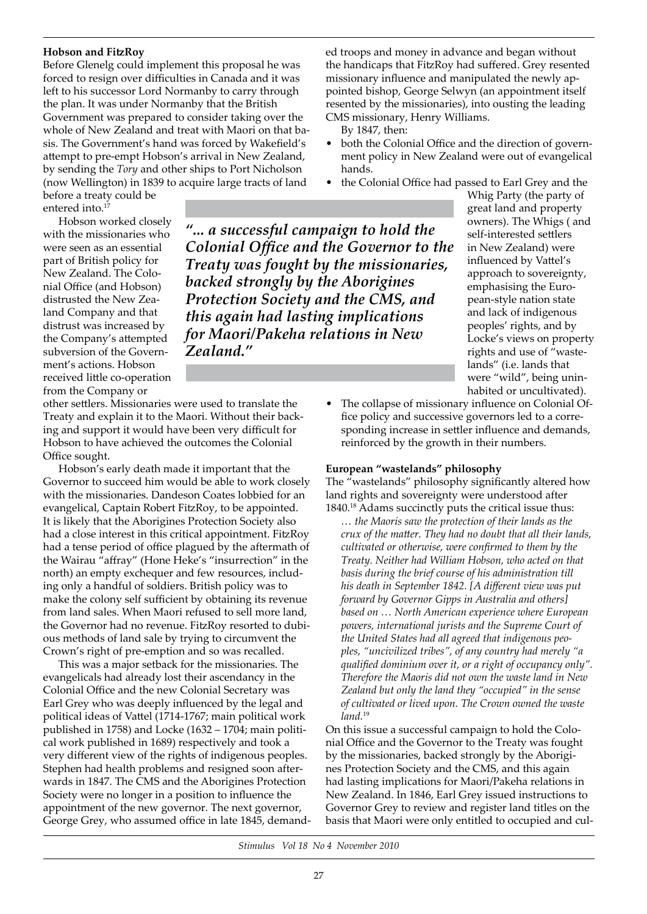# **Hobson and FitzRoy**

Before Glenelg could implement this proposal he was forced to resign over difficulties in Canada and it was left to his successor Lord Normanby to carry through the plan. It was under Normanby that the British Government was prepared to consider taking over the whole of New Zealand and treat with Maori on that basis. The Government's hand was forced by Wakefield's attempt to pre-empt Hobson's arrival in New Zealand, by sending the *Tory* and other ships to Port Nicholson (now Wellington) in 1839 to acquire large tracts of land

before a treaty could be entered into.<sup>17</sup>

Hobson worked closely with the missionaries who were seen as an essential part of British policy for New Zealand. The Colonial Office (and Hobson) distrusted the New Zealand Company and that distrust was increased by the Company's attempted subversion of the Government's actions. Hobson received little co-operation from the Company or

*"... a successful campaign to hold the Colonial Office and the Governor to the Treaty was fought by the missionaries, backed strongly by the Aborigines Protection Society and the CMS, and this again had lasting implications for Maori/Pakeha relations in New Zealand."*

other settlers. Missionaries were used to translate the Treaty and explain it to the Maori. Without their backing and support it would have been very difficult for Hobson to have achieved the outcomes the Colonial Office sought.

Hobson's early death made it important that the Governor to succeed him would be able to work closely with the missionaries. Dandeson Coates lobbied for an evangelical, Captain Robert FitzRoy, to be appointed. It is likely that the Aborigines Protection Society also had a close interest in this critical appointment. FitzRoy had a tense period of office plagued by the aftermath of the Wairau "affray" (Hone Heke's "insurrection" in the north) an empty exchequer and few resources, including only a handful of soldiers. British policy was to make the colony self sufficient by obtaining its revenue from land sales. When Maori refused to sell more land, the Governor had no revenue. FitzRoy resorted to dubious methods of land sale by trying to circumvent the Crown's right of pre-emption and so was recalled.

This was a major setback for the missionaries. The evangelicals had already lost their ascendancy in the Colonial Office and the new Colonial Secretary was Earl Grey who was deeply influenced by the legal and political ideas of Vattel (1714-1767; main political work published in 1758) and Locke (1632 – 1704; main political work published in 1689) respectively and took a very different view of the rights of indigenous peoples. Stephen had health problems and resigned soon afterwards in 1847. The CMS and the Aborigines Protection Society were no longer in a position to influence the appointment of the new governor. The next governor, George Grey, who assumed office in late 1845, demanded troops and money in advance and began without the handicaps that FitzRoy had suffered. Grey resented missionary influence and manipulated the newly appointed bishop, George Selwyn (an appointment itself resented by the missionaries), into ousting the leading CMS missionary, Henry Williams.

By 1847, then:

- both the Colonial Office and the direction of government policy in New Zealand were out of evangelical hands.
- the Colonial Office had passed to Earl Grey and the

great land and property owners). The Whigs ( and self-interested settlers in New Zealand) were influenced by Vattel's approach to sovereignty, emphasising the European-style nation state and lack of indigenous peoples' rights, and by Locke's views on property rights and use of "wastelands" (i.e. lands that were "wild", being uninhabited or uncultivated).

Whig Party (the party of

The collapse of missionary influence on Colonial Office policy and successive governors led to a corresponding increase in settler influence and demands, reinforced by the growth in their numbers.

## **European "wastelands" philosophy**

The "wastelands" philosophy significantly altered how land rights and sovereignty were understood after 1840.18 Adams succinctly puts the critical issue thus:

*… the Maoris saw the protection of their lands as the crux of the matter. They had no doubt that all their lands, cultivated or otherwise, were confirmed to them by the Treaty. Neither had William Hobson, who acted on that basis during the brief course of his administration till his death in September 1842. [A different view was put forward by Governor Gipps in Australia and others] based on … North American experience where European powers, international jurists and the Supreme Court of the United States had all agreed that indigenous peoples, "uncivilized tribes", of any country had merely "a qualified dominium over it, or a right of occupancy only". Therefore the Maoris did not own the waste land in New Zealand but only the land they "occupied" in the sense of cultivated or lived upon. The Crown owned the waste land.*<sup>19</sup>

On this issue a successful campaign to hold the Colonial Office and the Governor to the Treaty was fought by the missionaries, backed strongly by the Aborigines Protection Society and the CMS, and this again had lasting implications for Maori/Pakeha relations in New Zealand. In 1846, Earl Grey issued instructions to Governor Grey to review and register land titles on the basis that Maori were only entitled to occupied and cul-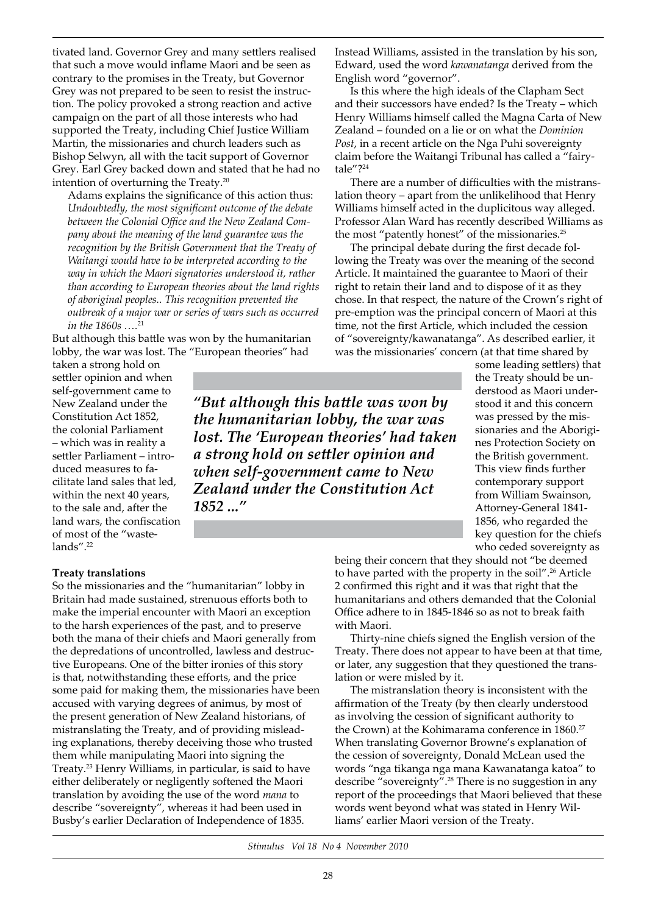tivated land. Governor Grey and many settlers realised that such a move would inflame Maori and be seen as contrary to the promises in the Treaty, but Governor Grey was not prepared to be seen to resist the instruction. The policy provoked a strong reaction and active campaign on the part of all those interests who had supported the Treaty, including Chief Justice William Martin, the missionaries and church leaders such as Bishop Selwyn, all with the tacit support of Governor Grey. Earl Grey backed down and stated that he had no intention of overturning the Treaty.20

Adams explains the significance of this action thus: *Undoubtedly, the most significant outcome of the debate between the Colonial Office and the New Zealand Company about the meaning of the land guarantee was the recognition by the British Government that the Treaty of Waitangi would have to be interpreted according to the way in which the Maori signatories understood it, rather than according to European theories about the land rights of aboriginal peoples.. This recognition prevented the outbreak of a major war or series of wars such as occurred in the 1860s ….*<sup>21</sup>

But although this battle was won by the humanitarian lobby, the war was lost. The "European theories" had

taken a strong hold on settler opinion and when self-government came to New Zealand under the Constitution Act 1852, the colonial Parliament – which was in reality a settler Parliament – introduced measures to facilitate land sales that led, within the next 40 years, to the sale and, after the land wars, the confiscation of most of the "wastelands".<sup>22</sup>

**Treaty translations**

So the missionaries and the "humanitarian" lobby in Britain had made sustained, strenuous efforts both to make the imperial encounter with Maori an exception to the harsh experiences of the past, and to preserve both the mana of their chiefs and Maori generally from the depredations of uncontrolled, lawless and destructive Europeans. One of the bitter ironies of this story is that, notwithstanding these efforts, and the price some paid for making them, the missionaries have been accused with varying degrees of animus, by most of the present generation of New Zealand historians, of mistranslating the Treaty, and of providing misleading explanations, thereby deceiving those who trusted them while manipulating Maori into signing the Treaty.23 Henry Williams, in particular, is said to have either deliberately or negligently softened the Maori translation by avoiding the use of the word *mana* to describe "sovereignty", whereas it had been used in Busby's earlier Declaration of Independence of 1835.

Instead Williams, assisted in the translation by his son, Edward, used the word *kawanatan*g*a* derived from the English word "governor".

Is this where the high ideals of the Clapham Sect and their successors have ended? Is the Treaty – which Henry Williams himself called the Magna Carta of New Zealand – founded on a lie or on what the *Dominion Post*, in a recent article on the Nga Puhi sovereignty claim before the Waitangi Tribunal has called a "fairytale"?24

There are a number of difficulties with the mistranslation theory – apart from the unlikelihood that Henry Williams himself acted in the duplicitous way alleged. Professor Alan Ward has recently described Williams as the most "patently honest" of the missionaries.<sup>25</sup>

The principal debate during the first decade following the Treaty was over the meaning of the second Article. It maintained the guarantee to Maori of their right to retain their land and to dispose of it as they chose. In that respect, the nature of the Crown's right of pre-emption was the principal concern of Maori at this time, not the first Article, which included the cession of "sovereignty/kawanatanga". As described earlier, it was the missionaries' concern (at that time shared by

*"But although this battle was won by the humanitarian lobby, the war was lost. The 'European theories' had taken a strong hold on settler opinion and when self-government came to New Zealand under the Constitution Act 1852 ..."*

some leading settlers) that the Treaty should be understood as Maori understood it and this concern was pressed by the missionaries and the Aborigines Protection Society on the British government. This view finds further contemporary support from William Swainson, Attorney-General 1841- 1856, who regarded the key question for the chiefs who ceded sovereignty as

being their concern that they should not "be deemed to have parted with the property in the soil".<sup>26</sup> Article 2 confirmed this right and it was that right that the humanitarians and others demanded that the Colonial Office adhere to in 1845-1846 so as not to break faith with Maori.

Thirty-nine chiefs signed the English version of the Treaty. There does not appear to have been at that time, or later, any suggestion that they questioned the translation or were misled by it.

The mistranslation theory is inconsistent with the affirmation of the Treaty (by then clearly understood as involving the cession of significant authority to the Crown) at the Kohimarama conference in 1860.<sup>27</sup> When translating Governor Browne's explanation of the cession of sovereignty, Donald McLean used the words "nga tikanga nga mana Kawanatanga katoa" to describe "sovereignty".28 There is no suggestion in any report of the proceedings that Maori believed that these words went beyond what was stated in Henry Williams' earlier Maori version of the Treaty.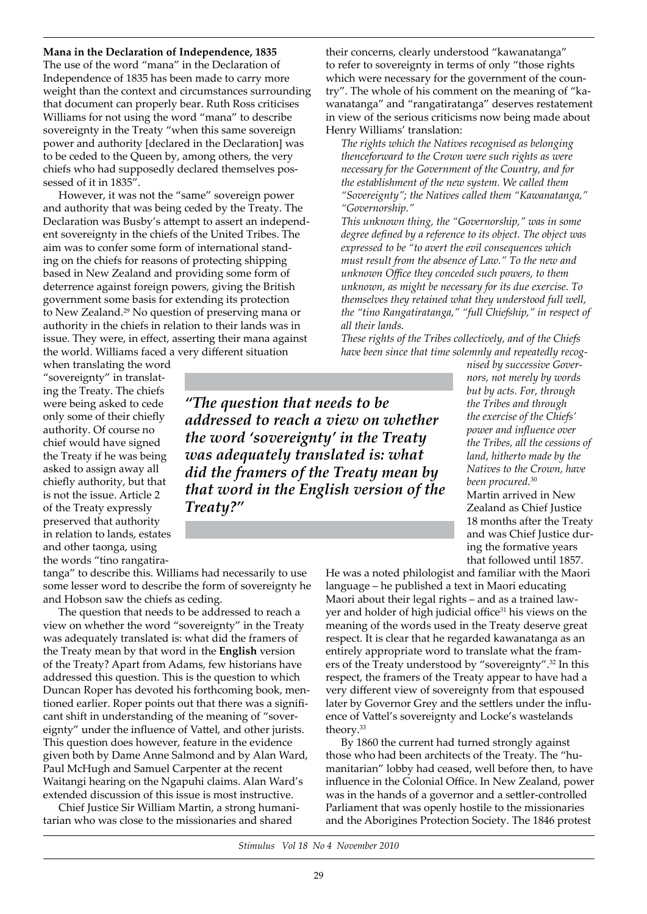#### **Mana in the Declaration of Independence, 1835**

The use of the word "mana" in the Declaration of Independence of 1835 has been made to carry more weight than the context and circumstances surrounding that document can properly bear. Ruth Ross criticises Williams for not using the word "mana" to describe sovereignty in the Treaty "when this same sovereign power and authority [declared in the Declaration] was to be ceded to the Queen by, among others, the very chiefs who had supposedly declared themselves possessed of it in 1835".

However, it was not the "same" sovereign power and authority that was being ceded by the Treaty. The Declaration was Busby's attempt to assert an independent sovereignty in the chiefs of the United Tribes. The aim was to confer some form of international standing on the chiefs for reasons of protecting shipping based in New Zealand and providing some form of deterrence against foreign powers, giving the British government some basis for extending its protection to New Zealand.29 No question of preserving mana or authority in the chiefs in relation to their lands was in issue. They were, in effect, asserting their mana against the world. Williams faced a very different situation

when translating the word "sovereignty" in translating the Treaty. The chiefs were being asked to cede only some of their chiefly authority. Of course no chief would have signed the Treaty if he was being asked to assign away all chiefly authority, but that is not the issue. Article 2 of the Treaty expressly preserved that authority in relation to lands, estates and other taonga, using the words "tino rangatira-

*"The question that needs to be addressed to reach a view on whether the word 'sovereignty' in the Treaty was adequately translated is: what did the framers of the Treaty mean by that word in the English version of the Treaty?"*

their concerns, clearly understood "kawanatanga" to refer to sovereignty in terms of only "those rights which were necessary for the government of the country". The whole of his comment on the meaning of "kawanatanga" and "rangatiratanga" deserves restatement in view of the serious criticisms now being made about Henry Williams' translation:

*The rights which the Natives recognised as belonging thenceforward to the Crown were such rights as were necessary for the Government of the Country, and for the establishment of the new system. We called them "Sovereignty"; the Natives called them "Kawanatanga," "Governorship."*

*This unknown thing, the "Governorship," was in some degree defined by a reference to its object. The object was expressed to be "to avert the evil consequences which must result from the absence of Law." To the new and unknown Office they conceded such powers, to them unknown, as might be necessary for its due exercise. To themselves they retained what they understood full well, the "tino Rangatiratanga," "full Chiefship," in respect of all their lands.*

*These rights of the Tribes collectively, and of the Chiefs have been since that time solemnly and repeatedly recog-*

> *nised by successive Governors, not merely by words but by acts. For, through the Tribes and through the exercise of the Chiefs' power and influence over the Tribes, all the cessions of*

*land, hitherto made by the Natives to the Crown, have been procured.*<sup>30</sup> Martin arrived in New Zealand as Chief Justice 18 months after the Treaty and was Chief Justice during the formative years that followed until 1857. He was a noted philologist and familiar with the Maori

tanga" to describe this. Williams had necessarily to use some lesser word to describe the form of sovereignty he and Hobson saw the chiefs as ceding.

The question that needs to be addressed to reach a view on whether the word "sovereignty" in the Treaty was adequately translated is: what did the framers of the Treaty mean by that word in the **English** version of the Treaty? Apart from Adams, few historians have addressed this question. This is the question to which Duncan Roper has devoted his forthcoming book, mentioned earlier. Roper points out that there was a significant shift in understanding of the meaning of "sovereignty" under the influence of Vattel, and other jurists. This question does however, feature in the evidence given both by Dame Anne Salmond and by Alan Ward, Paul McHugh and Samuel Carpenter at the recent Waitangi hearing on the Ngapuhi claims. Alan Ward's extended discussion of this issue is most instructive.

Chief Justice Sir William Martin, a strong humanitarian who was close to the missionaries and shared

language – he published a text in Maori educating Maori about their legal rights – and as a trained lawyer and holder of high judicial office<sup>31</sup> his views on the meaning of the words used in the Treaty deserve great respect. It is clear that he regarded kawanatanga as an entirely appropriate word to translate what the framers of the Treaty understood by "sovereignty".32 In this respect, the framers of the Treaty appear to have had a very different view of sovereignty from that espoused later by Governor Grey and the settlers under the influence of Vattel's sovereignty and Locke's wastelands theory.33

By 1860 the current had turned strongly against those who had been architects of the Treaty. The "humanitarian" lobby had ceased, well before then, to have influence in the Colonial Office. In New Zealand, power was in the hands of a governor and a settler-controlled Parliament that was openly hostile to the missionaries and the Aborigines Protection Society. The 1846 protest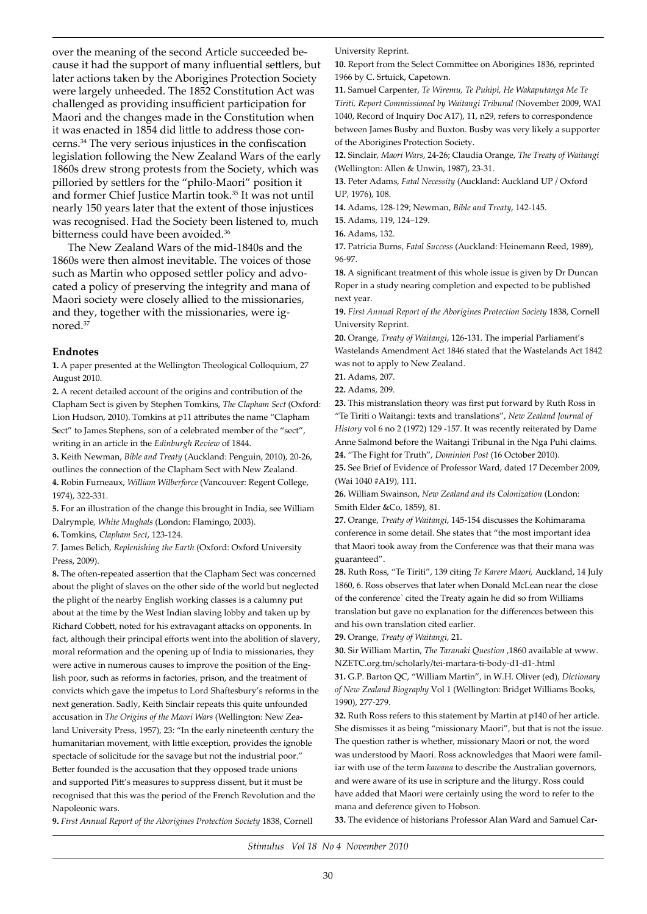over the meaning of the second Article succeeded because it had the support of many influential settlers, but later actions taken by the Aborigines Protection Society were largely unheeded. The 1852 Constitution Act was challenged as providing insufficient participation for Maori and the changes made in the Constitution when it was enacted in 1854 did little to address those concerns.34 The very serious injustices in the confiscation legislation following the New Zealand Wars of the early 1860s drew strong protests from the Society, which was pilloried by settlers for the "philo-Maori" position it and former Chief Justice Martin took.35 It was not until nearly 150 years later that the extent of those injustices was recognised. Had the Society been listened to, much bitterness could have been avoided.<sup>36</sup>

The New Zealand Wars of the mid-1840s and the 1860s were then almost inevitable. The voices of those such as Martin who opposed settler policy and advocated a policy of preserving the integrity and mana of Maori society were closely allied to the missionaries, and they, together with the missionaries, were ignored.37

#### **Endnotes**

**1.** A paper presented at the Wellington Theological Colloquium, 27 August 2010.

**2.** A recent detailed account of the origins and contribution of the Clapham Sect is given by Stephen Tomkins, *The Clapham Sect* (Oxford: Lion Hudson, 2010). Tomkins at p11 attributes the name "Clapham Sect" to James Stephens, son of a celebrated member of the "sect", writing in an article in the *Edinburgh Review* of 1844.

**3.** Keith Newman, *Bible and Treaty* (Auckland: Penguin, 2010), 20-26, outlines the connection of the Clapham Sect with New Zealand. **4.** Robin Furneaux, *William Wilberforce* (Vancouver: Regent College,

1974), 322-331.

**5.** For an illustration of the change this brought in India, see William Dalrymple*, White Mughals* (London: Flamingo, 2003).

**6.** Tomkins, *Clapham Sect*, 123-124.

7. James Belich, *Replenishing the Earth* (Oxford: Oxford University Press, 2009).

**8.** The often-repeated assertion that the Clapham Sect was concerned about the plight of slaves on the other side of the world but neglected the plight of the nearby English working classes is a calumny put about at the time by the West Indian slaving lobby and taken up by Richard Cobbett, noted for his extravagant attacks on opponents. In fact, although their principal efforts went into the abolition of slavery, moral reformation and the opening up of India to missionaries, they were active in numerous causes to improve the position of the English poor, such as reforms in factories, prison, and the treatment of convicts which gave the impetus to Lord Shaftesbury's reforms in the next generation. Sadly, Keith Sinclair repeats this quite unfounded accusation in *The Origins of the Maori Wars* (Wellington: New Zealand University Press, 1957), 23: "In the early nineteenth century the humanitarian movement, with little exception, provides the ignoble spectacle of solicitude for the savage but not the industrial poor." Better founded is the accusation that they opposed trade unions and supported Pitt's measures to suppress dissent, but it must be recognised that this was the period of the French Revolution and the Napoleonic wars.

University Reprint.

**10.** Report from the Select Committee on Aborigines 1836, reprinted 1966 by C. Srtuick, Capetown.

**11.** Samuel Carpenter, *Te Wiremu, Te Puhipi, He Wakaputanga Me Te Tiriti, Report Commissioned by Waitangi Tribunal (*November 2009, WAI 1040, Record of Inquiry Doc A17), 11, n29, refers to correspondence between James Busby and Buxton. Busby was very likely a supporter of the Aborigines Protection Society.

**12.** Sinclair, *Maori Wars*, 24-26; Claudia Orange, *The Treaty of Waitangi* (Wellington: Allen & Unwin, 1987), 23-31.

**13.** Peter Adams, *Fatal Necessity* (Auckland: Auckland UP / Oxford UP, 1976), 108.

**14.** Adams, 128-129; Newman, *Bible and Treaty*, 142-145.

**15.** Adams, 119, 124–129.

**16.** Adams, 132.

**17.** Patricia Burns, *Fatal Success* (Auckland: Heinemann Reed, 1989), 96-97.

**18.** A significant treatment of this whole issue is given by Dr Duncan Roper in a study nearing completion and expected to be published next year.

**19.** *First Annual Report of the Aborigines Protection Society* 1838, Cornell University Reprint.

**20.** Orange, *Treaty of Waitangi*, 126-131. The imperial Parliament's Wastelands Amendment Act 1846 stated that the Wastelands Act 1842 was not to apply to New Zealand.

**21.** Adams, 207.

**22.** Adams, 209.

**23.** This mistranslation theory was first put forward by Ruth Ross in "Te Tiriti o Waitangi: texts and translations", *New Zealand Journal of History* vol 6 no 2 (1972) 129 -157. It was recently reiterated by Dame Anne Salmond before the Waitangi Tribunal in the Nga Puhi claims. **24.** "The Fight for Truth", *Dominion Post* (16 October 2010).

**25.** See Brief of Evidence of Professor Ward, dated 17 December 2009, (Wai 1040 #A19), 111.

**26.** William Swainson, *New Zealand and its Colonization* (London: Smith Elder &Co, 1859), 81.

**27.** Orange, *Treaty of Waitangi*, 145-154 discusses the Kohimarama conference in some detail. She states that "the most important idea that Maori took away from the Conference was that their mana was guaranteed".

**28.** Ruth Ross, "Te Tiriti", 139 citing *Te Karere Maori,* Auckland, 14 July 1860, 6. Ross observes that later when Donald McLean near the close of the conference` cited the Treaty again he did so from Williams translation but gave no explanation for the differences between this and his own translation cited earlier.

**29.** Orange, *Treaty of Waitangi*, 21.

**30.** Sir William Martin, *The Taranaki Question* ,1860 available at www. NZETC.org.tm/scholarly/tei-martara-ti-body-d1-d1-.html

**31.** G.P. Barton QC, "William Martin", in W.H. Oliver (ed), *Dictionary of New Zealand Biography* Vol 1 (Wellington: Bridget Williams Books, 1990), 277-279.

**32.** Ruth Ross refers to this statement by Martin at p140 of her article. She dismisses it as being "missionary Maori", but that is not the issue. The question rather is whether, missionary Maori or not, the word was understood by Maori. Ross acknowledges that Maori were familiar with use of the term *kawana* to describe the Australian governors, and were aware of its use in scripture and the liturgy. Ross could have added that Maori were certainly using the word to refer to the mana and deference given to Hobson.

**9.** *First Annual Report of the Aborigines Protection Society* 1838, Cornell

**33.** The evidence of historians Professor Alan Ward and Samuel Car-